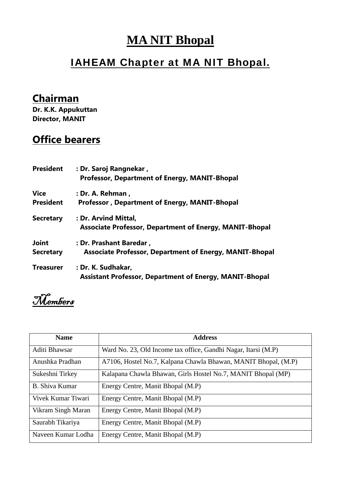## **MA NIT Bhopal**

## IAHEAM Chapter at MA NIT Bhopal.

## **Chairman**

**Dr. K.K. Appukuttan Director, MANIT**

## **Office bearers**

| <b>President</b> | : Dr. Saroj Rangnekar,<br>Professor, Department of Energy, MANIT-Bhopal                |
|------------------|----------------------------------------------------------------------------------------|
| <b>Vice</b>      | : Dr. A. Rehman,                                                                       |
| <b>President</b> | <b>Professor, Department of Energy, MANIT-Bhopal</b>                                   |
| <b>Secretary</b> | : Dr. Arvind Mittal,<br><b>Associate Professor, Department of Energy, MANIT-Bhopal</b> |
| <b>Joint</b>     | : Dr. Prashant Baredar,                                                                |
| <b>Secretary</b> | <b>Associate Professor, Department of Energy, MANIT-Bhopal</b>                         |
| <b>Treasurer</b> | : Dr. K. Sudhakar,<br><b>Assistant Professor, Department of Energy, MANIT-Bhopal</b>   |

Members

| <b>Name</b>        | <b>Address</b>                                                 |
|--------------------|----------------------------------------------------------------|
| Aditi Bhawsar      | Ward No. 23, Old Income tax office, Gandhi Nagar, Itarsi (M.P) |
| Anushka Pradhan    | A7106, Hostel No.7, Kalpana Chawla Bhawan, MANIT Bhopal, (M.P) |
| Sukeshni Tirkey    | Kalapana Chawla Bhawan, Girls Hostel No.7, MANIT Bhopal (MP)   |
| B. Shiva Kumar     | Energy Centre, Manit Bhopal (M.P)                              |
| Vivek Kumar Tiwari | Energy Centre, Manit Bhopal (M.P)                              |
| Vikram Singh Maran | Energy Centre, Manit Bhopal (M.P)                              |
| Saurabh Tikariya   | Energy Centre, Manit Bhopal (M.P)                              |
| Naveen Kumar Lodha | Energy Centre, Manit Bhopal (M.P)                              |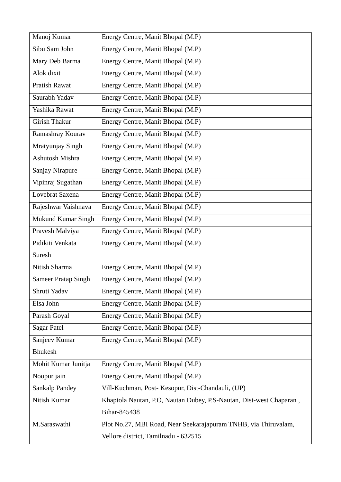| Manoj Kumar                | Energy Centre, Manit Bhopal (M.P)                                   |
|----------------------------|---------------------------------------------------------------------|
| Sibu Sam John              | Energy Centre, Manit Bhopal (M.P)                                   |
| Mary Deb Barma             | Energy Centre, Manit Bhopal (M.P)                                   |
| Alok dixit                 | Energy Centre, Manit Bhopal (M.P)                                   |
| <b>Pratish Rawat</b>       | Energy Centre, Manit Bhopal (M.P)                                   |
| Saurabh Yadav              | Energy Centre, Manit Bhopal (M.P)                                   |
| Yashika Rawat              | Energy Centre, Manit Bhopal (M.P)                                   |
| Girish Thakur              | Energy Centre, Manit Bhopal (M.P)                                   |
| Ramashray Kourav           | Energy Centre, Manit Bhopal (M.P)                                   |
| Mratyunjay Singh           | Energy Centre, Manit Bhopal (M.P)                                   |
| Ashutosh Mishra            | Energy Centre, Manit Bhopal (M.P)                                   |
| Sanjay Nirapure            | Energy Centre, Manit Bhopal (M.P)                                   |
| Vipinraj Sugathan          | Energy Centre, Manit Bhopal (M.P)                                   |
| Lovebrat Saxena            | Energy Centre, Manit Bhopal (M.P)                                   |
| Rajeshwar Vaishnava        | Energy Centre, Manit Bhopal (M.P)                                   |
| <b>Mukund Kumar Singh</b>  | Energy Centre, Manit Bhopal (M.P)                                   |
| Pravesh Malviya            | Energy Centre, Manit Bhopal (M.P)                                   |
| Pidikiti Venkata           | Energy Centre, Manit Bhopal (M.P)                                   |
| Suresh                     |                                                                     |
| Nitish Sharma              | Energy Centre, Manit Bhopal (M.P)                                   |
| <b>Sameer Pratap Singh</b> | Energy Centre, Manit Bhopal (M.P)                                   |
| Shruti Yadav               | Energy Centre, Manit Bhopal (M.P)                                   |
| Elsa John                  | Energy Centre, Manit Bhopal (M.P)                                   |
| Parash Goyal               | Energy Centre, Manit Bhopal (M.P)                                   |
| <b>Sagar Patel</b>         | Energy Centre, Manit Bhopal (M.P)                                   |
| Sanjeev Kumar              | Energy Centre, Manit Bhopal (M.P)                                   |
| <b>Bhukesh</b>             |                                                                     |
| Mohit Kumar Junitja        | Energy Centre, Manit Bhopal (M.P)                                   |
| Noopur jain                | Energy Centre, Manit Bhopal (M.P)                                   |
| <b>Sankalp Pandey</b>      | Vill-Kuchman, Post-Kesopur, Dist-Chandauli, (UP)                    |
| Nitish Kumar               | Khaptola Nautan, P.O, Nautan Dubey, P.S-Nautan, Dist-west Chaparan, |
|                            | Bihar-845438                                                        |
| M.Saraswathi               | Plot No.27, MBI Road, Near Seekarajapuram TNHB, via Thiruvalam,     |
|                            | Vellore district, Tamilnadu - 632515                                |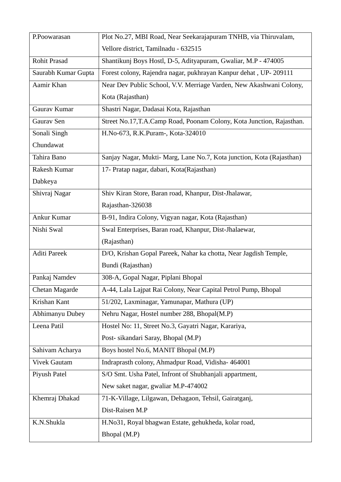| P.Poowarasan        | Plot No.27, MBI Road, Near Seekarajapuram TNHB, via Thiruvalam,       |
|---------------------|-----------------------------------------------------------------------|
|                     | Vellore district, Tamilnadu - 632515                                  |
| Rohit Prasad        | Shantikunj Boys Hostl, D-5, Adityapuram, Gwaliar, M.P - 474005        |
| Saurabh Kumar Gupta | Forest colony, Rajendra nagar, pukhrayan Kanpur dehat, UP-209111      |
| Aamir Khan          | Near Dev Public School, V.V. Merriage Varden, New Akashwani Colony,   |
|                     | Kota (Rajasthan)                                                      |
| Gaurav Kumar        | Shastri Nagar, Dadasai Kota, Rajasthan                                |
| Gaurav Sen          | Street No.17, T.A.Camp Road, Poonam Colony, Kota Junction, Rajasthan. |
| Sonali Singh        | H.No-673, R.K.Puram-, Kota-324010                                     |
| Chundawat           |                                                                       |
| Tahira Bano         | Sanjay Nagar, Mukti- Marg, Lane No.7, Kota junction, Kota (Rajasthan) |
| Rakesh Kumar        | 17- Pratap nagar, dabari, Kota(Rajasthan)                             |
| Dabkeya             |                                                                       |
| Shivraj Nagar       | Shiv Kiran Store, Baran road, Khanpur, Dist-Jhalawar,                 |
|                     | Rajasthan-326038                                                      |
| Ankur Kumar         | B-91, Indira Colony, Vigyan nagar, Kota (Rajasthan)                   |
| Nishi Swal          | Swal Enterprises, Baran road, Khanpur, Dist-Jhalaewar,                |
|                     | (Rajasthan)                                                           |
| Aditi Pareek        | D/O, Krishan Gopal Pareek, Nahar ka chotta, Near Jagdish Temple,      |
|                     | Bundi (Rajasthan)                                                     |
| Pankaj Namdev       | 308-A, Gopal Nagar, Piplani Bhopal                                    |
| Chetan Magarde      | A-44, Lala Lajpat Rai Colony, Near Capital Petrol Pump, Bhopal        |
| Krishan Kant        | 51/202, Laxminagar, Yamunapar, Mathura (UP)                           |
| Abhimanyu Dubey     | Nehru Nagar, Hostel number 288, Bhopal(M.P)                           |
| Leena Patil         | Hostel No: 11, Street No.3, Gayatri Nagar, Karariya,                  |
|                     | Post- sikandari Saray, Bhopal (M.P)                                   |
| Sahivam Acharya     | Boys hostel No.6, MANIT Bhopal (M.P)                                  |
| <b>Vivek Gautam</b> | Indraprasth colony, Ahmadpur Road, Vidisha-464001                     |
| Piyush Patel        | S/O Smt. Usha Patel, Infront of Shubhanjali appartment,               |
|                     | New saket nagar, gwaliar M.P-474002                                   |
| Khemraj Dhakad      | 71-K-Village, Lilgawan, Dehagaon, Tehsil, Gairatganj,                 |
|                     | Dist-Raisen M.P                                                       |
| K.N.Shukla          | H.No31, Royal bhagwan Estate, gehukheda, kolar road,                  |
|                     | Bhopal (M.P)                                                          |